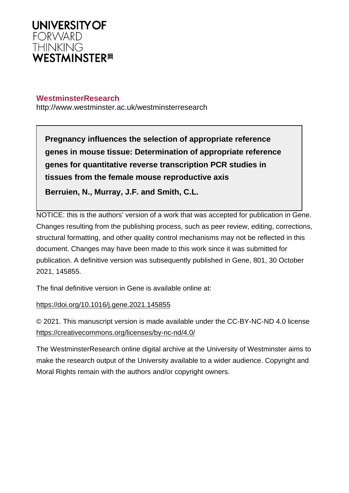

## **WestminsterResearch**

http://www.westminster.ac.uk/westminsterresearch

**Pregnancy influences the selection of appropriate reference genes in mouse tissue: Determination of appropriate reference genes for quantitative reverse transcription PCR studies in tissues from the female mouse reproductive axis Berruien, N., Murray, J.F. and Smith, C.L.**

NOTICE: this is the authors' version of a work that was accepted for publication in Gene. Changes resulting from the publishing process, such as peer review, editing, corrections, structural formatting, and other quality control mechanisms may not be reflected in this document. Changes may have been made to this work since it was submitted for publication. A definitive version was subsequently published in Gene, 801, 30 October 2021, 145855.

The final definitive version in Gene is available online at:

<https://doi.org/10.1016/j.gene.2021.145855>

© 2021. This manuscript version is made available under the CC-BY-NC-ND 4.0 license <https://creativecommons.org/licenses/by-nc-nd/4.0/>

The WestminsterResearch online digital archive at the University of Westminster aims to make the research output of the University available to a wider audience. Copyright and Moral Rights remain with the authors and/or copyright owners.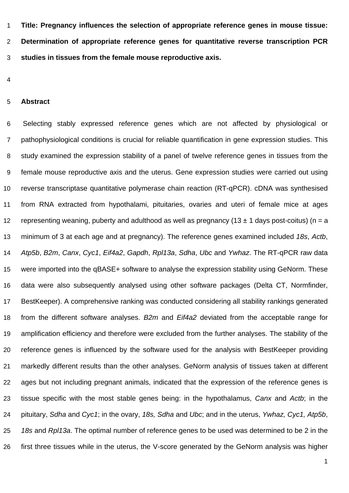**Title: Pregnancy influences the selection of appropriate reference genes in mouse tissue: Determination of appropriate reference genes for quantitative reverse transcription PCR studies in tissues from the female mouse reproductive axis.**

#### **Abstract**

Selecting stably expressed reference genes which are not affected by physiological or pathophysiological conditions is crucial for reliable quantification in gene expression studies. This study examined the expression stability of a panel of twelve reference genes in tissues from the female mouse reproductive axis and the uterus. Gene expression studies were carried out using reverse transcriptase quantitative polymerase chain reaction (RT-qPCR). cDNA was synthesised from RNA extracted from hypothalami, pituitaries, ovaries and uteri of female mice at ages 12 representing weaning, puberty and adulthood as well as pregnancy (13  $\pm$  1 days post-coitus) (n = a minimum of 3 at each age and at pregnancy). The reference genes examined included 18s, Actb, Atp5b, B2m, Canx, Cyc1, Eif4a2, Gapdh, Rpl13a, Sdha, Ubc and Ywhaz. The RT-qPCR raw data were imported into the qBASE+ software to analyse the expression stability using GeNorm. These data were also subsequently analysed using other software packages (Delta CT, Normfinder, BestKeeper). A comprehensive ranking was conducted considering all stability rankings generated 18 from the different software analyses. B2m and Eif4a2 deviated from the acceptable range for amplification efficiency and therefore were excluded from the further analyses. The stability of the reference genes is influenced by the software used for the analysis with BestKeeper providing markedly different results than the other analyses. GeNorm analysis of tissues taken at different ages but not including pregnant animals, indicated that the expression of the reference genes is 23 tissue specific with the most stable genes being: in the hypothalamus, Canx and Actb; in the 24 pituitary, Sdha and Cyc1; in the ovary, 18s, Sdha and Ubc; and in the uterus, Ywhaz, Cyc1, Atp5b, 25 18s and Rpl13a. The optimal number of reference genes to be used was determined to be 2 in the first three tissues while in the uterus, the V-score generated by the GeNorm analysis was higher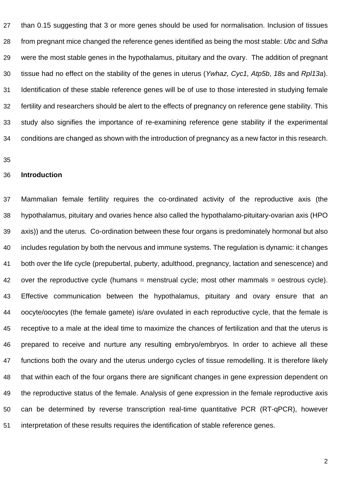than 0.15 suggesting that 3 or more genes should be used for normalisation. Inclusion of tissues 28 from pregnant mice changed the reference genes identified as being the most stable: Ubc and Sdha were the most stable genes in the hypothalamus, pituitary and the ovary. The addition of pregnant 30 tissue had no effect on the stability of the genes in uterus (Ywhaz, Cyc1, Atp5b, 18s and Rpl13a). Identification of these stable reference genes will be of use to those interested in studying female fertility and researchers should be alert to the effects of pregnancy on reference gene stability. This study also signifies the importance of re-examining reference gene stability if the experimental conditions are changed as shown with the introduction of pregnancy as a new factor in this research.

#### **Introduction**

 Mammalian female fertility requires the co-ordinated activity of the reproductive axis (the hypothalamus, pituitary and ovaries hence also called the hypothalamo-pituitary-ovarian axis (HPO axis)) and the uterus. Co-ordination between these four organs is predominately hormonal but also includes regulation by both the nervous and immune systems. The regulation is dynamic: it changes both over the life cycle (prepubertal, puberty, adulthood, pregnancy, lactation and senescence) and 42 over the reproductive cycle (humans = menstrual cycle; most other mammals = oestrous cycle). Effective communication between the hypothalamus, pituitary and ovary ensure that an oocyte/oocytes (the female gamete) is/are ovulated in each reproductive cycle, that the female is receptive to a male at the ideal time to maximize the chances of fertilization and that the uterus is prepared to receive and nurture any resulting embryo/embryos. In order to achieve all these functions both the ovary and the uterus undergo cycles of tissue remodelling. It is therefore likely that within each of the four organs there are significant changes in gene expression dependent on the reproductive status of the female. Analysis of gene expression in the female reproductive axis can be determined by reverse transcription real-time quantitative PCR (RT-qPCR), however interpretation of these results requires the identification of stable reference genes.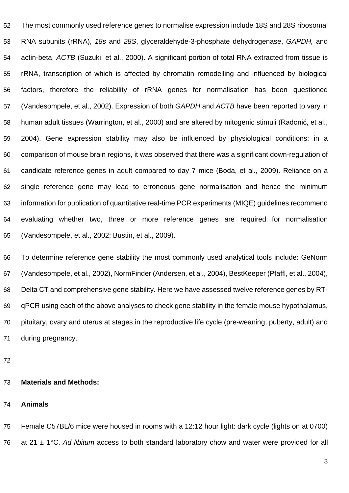The most commonly used reference genes to normalise expression include 18S and 28S ribosomal RNA subunits (rRNA), 18s and 28S, glyceraldehyde-3-phosphate dehydrogenase, GAPDH, and actin-beta, ACTB (Suzuki, et al., 2000). A significant portion of total RNA extracted from tissue is rRNA, transcription of which is affected by chromatin remodelling and influenced by biological factors, therefore the reliability of rRNA genes for normalisation has been questioned 57 (Vandesompele, et al., 2002). Expression of both GAPDH and ACTB have been reported to vary in human adult tissues (Warrington, et al., 2000) and are altered by mitogenic stimuli (Radonić, et al., 2004). Gene expression stability may also be influenced by physiological conditions: in a comparison of mouse brain regions, it was observed that there was a significant down-regulation of candidate reference genes in adult compared to day 7 mice (Boda, et al., 2009). Reliance on a single reference gene may lead to erroneous gene normalisation and hence the minimum information for publication of quantitative real-time PCR experiments (MIQE) guidelines recommend evaluating whether two, three or more reference genes are required for normalisation (Vandesompele, et al., 2002; Bustin, et al., 2009).

 To determine reference gene stability the most commonly used analytical tools include: GeNorm (Vandesompele, et al., 2002), NormFinder (Andersen, et al., 2004), BestKeeper (Pfaffl, et al., 2004), Delta CT and comprehensive gene stability. Here we have assessed twelve reference genes by RT- qPCR using each of the above analyses to check gene stability in the female mouse hypothalamus, pituitary, ovary and uterus at stages in the reproductive life cycle (pre-weaning, puberty, adult) and during pregnancy.

## **Materials and Methods:**

#### **Animals**

 Female C57BL/6 mice were housed in rooms with a 12:12 hour light: dark cycle (lights on at 0700) 76 at 21  $\pm$  1°C. Ad libitum access to both standard laboratory chow and water were provided for all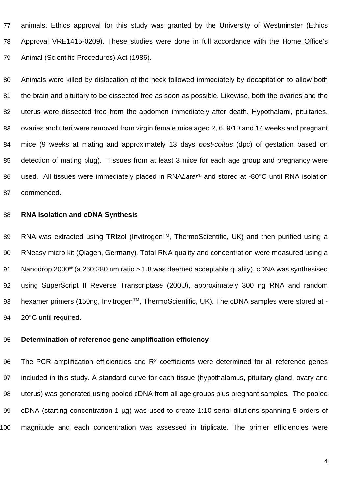animals. Ethics approval for this study was granted by the University of Westminster (Ethics Approval VRE1415-0209). These studies were done in full accordance with the Home Office's Animal (Scientific Procedures) Act (1986).

 Animals were killed by dislocation of the neck followed immediately by decapitation to allow both the brain and pituitary to be dissected free as soon as possible. Likewise, both the ovaries and the 82 uterus were dissected free from the abdomen immediately after death. Hypothalami, pituitaries, ovaries and uteri were removed from virgin female mice aged 2, 6, 9/10 and 14 weeks and pregnant 84 mice (9 weeks at mating and approximately 13 days post-coitus (dpc) of gestation based on detection of mating plug). Tissues from at least 3 mice for each age group and pregnancy were 86 used. All tissues were immediately placed in RNALater® and stored at -80°C until RNA isolation commenced.

## **RNA Isolation and cDNA Synthesis**

89 RNA was extracted using TRIzol (Invitrogen™, ThermoScientific, UK) and then purified using a RNeasy micro kit (Qiagen, Germany). Total RNA quality and concentration were measured using a Nanodrop 2000® (a 260:280 nm ratio > 1.8 was deemed acceptable quality). cDNA was synthesised using SuperScript II Reverse Transcriptase (200U), approximately 300 ng RNA and random 93 hexamer primers (150ng, Invitrogen™, ThermoScientific, UK). The cDNA samples were stored at -94 20°C until required.

## **Determination of reference gene amplification efficiency**

96 The PCR amplification efficiencies and  $R<sup>2</sup>$  coefficients were determined for all reference genes included in this study. A standard curve for each tissue (hypothalamus, pituitary gland, ovary and uterus) was generated using pooled cDNA from all age groups plus pregnant samples. The pooled 99 cDNA (starting concentration 1 µg) was used to create 1:10 serial dilutions spanning 5 orders of magnitude and each concentration was assessed in triplicate. The primer efficiencies were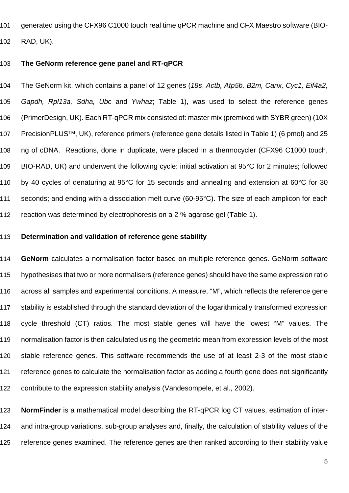generated using the CFX96 C1000 touch real time qPCR machine and CFX Maestro software (BIO-RAD, UK).

#### **The GeNorm reference gene panel and RT-qPCR**

104 The GeNorm kit, which contains a panel of 12 genes (18s, Actb, Atp5b, B2m, Canx, Cyc1, Eif4a2, Gapdh, Rpl13a, Sdha, Ubc and Ywhaz; Table 1), was used to select the reference genes (PrimerDesign, UK). Each RT-qPCR mix consisted of: master mix (premixed with SYBR green) (10X 107 PrecisionPLUS™, UK), reference primers (reference gene details listed in Table 1) (6 pmol) and 25 ng of cDNA. Reactions, done in duplicate, were placed in a thermocycler (CFX96 C1000 touch, BIO-RAD, UK) and underwent the following cycle: initial activation at 95°C for 2 minutes; followed by 40 cycles of denaturing at 95°C for 15 seconds and annealing and extension at 60°C for 30 seconds; and ending with a dissociation melt curve (60-95°C). The size of each amplicon for each reaction was determined by electrophoresis on a 2 % agarose gel (Table 1).

## **Determination and validation of reference gene stability**

 **GeNorm** calculates a normalisation factor based on multiple reference genes. GeNorm software hypothesises that two or more normalisers (reference genes) should have the same expression ratio across all samples and experimental conditions. A measure, "M", which reflects the reference gene stability is established through the standard deviation of the logarithmically transformed expression cycle threshold (CT) ratios. The most stable genes will have the lowest "M" values. The normalisation factor is then calculated using the geometric mean from expression levels of the most stable reference genes. This software recommends the use of at least 2-3 of the most stable reference genes to calculate the normalisation factor as adding a fourth gene does not significantly contribute to the expression stability analysis (Vandesompele, et al., 2002).

 **NormFinder** is a mathematical model describing the RT-qPCR log CT values, estimation of inter- and intra-group variations, sub-group analyses and, finally, the calculation of stability values of the reference genes examined. The reference genes are then ranked according to their stability value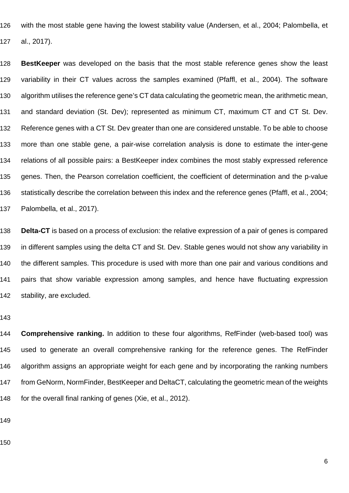with the most stable gene having the lowest stability value (Andersen, et al., 2004; Palombella, et al., 2017).

 **BestKeeper** was developed on the basis that the most stable reference genes show the least variability in their CT values across the samples examined (Pfaffl, et al., 2004). The software algorithm utilises the reference gene's CT data calculating the geometric mean, the arithmetic mean, and standard deviation (St. Dev); represented as minimum CT, maximum CT and CT St. Dev. Reference genes with a CT St. Dev greater than one are considered unstable. To be able to choose more than one stable gene, a pair-wise correlation analysis is done to estimate the inter-gene relations of all possible pairs: a BestKeeper index combines the most stably expressed reference genes. Then, the Pearson correlation coefficient, the coefficient of determination and the p-value statistically describe the correlation between this index and the reference genes (Pfaffl, et al., 2004; Palombella, et al., 2017).

 **Delta-CT** is based on a process of exclusion: the relative expression of a pair of genes is compared in different samples using the delta CT and St. Dev. Stable genes would not show any variability in the different samples. This procedure is used with more than one pair and various conditions and pairs that show variable expression among samples, and hence have fluctuating expression stability, are excluded.

 **Comprehensive ranking.** In addition to these four algorithms, RefFinder (web-based tool) was used to generate an overall comprehensive ranking for the reference genes. The RefFinder algorithm assigns an appropriate weight for each gene and by incorporating the ranking numbers from GeNorm, NormFinder, BestKeeper and DeltaCT, calculating the geometric mean of the weights for the overall final ranking of genes (Xie, et al., 2012).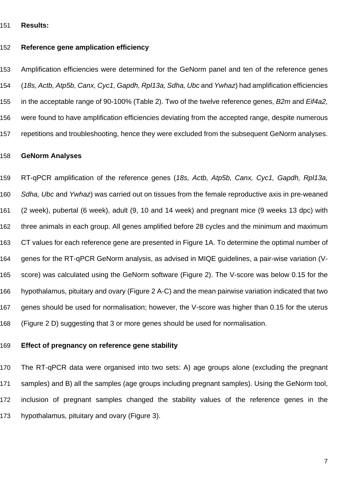#### **Results:**

#### **Reference gene amplication efficiency**

 Amplification efficiencies were determined for the GeNorm panel and ten of the reference genes (18s, Actb, Atp5b, Canx, Cyc1, Gapdh, Rpl13a, Sdha, Ubc and Ywhaz) had amplification efficiencies 155 in the acceptable range of 90-100% (Table 2). Two of the twelve reference genes, B2m and Eif4a2, were found to have amplification efficiencies deviating from the accepted range, despite numerous repetitions and troubleshooting, hence they were excluded from the subsequent GeNorm analyses.

#### **GeNorm Analyses**

159 RT-qPCR amplification of the reference genes (18s, Actb, Atp5b, Canx, Cyc1, Gapdh, Rpl13a, 160 Sdha, Ubc and Ywhaz) was carried out on tissues from the female reproductive axis in pre-weaned (2 week), pubertal (6 week), adult (9, 10 and 14 week) and pregnant mice (9 weeks 13 dpc) with three animals in each group. All genes amplified before 28 cycles and the minimum and maximum CT values for each reference gene are presented in Figure 1A. To determine the optimal number of genes for the RT-qPCR GeNorm analysis, as advised in MIQE guidelines, a pair-wise variation (V- score) was calculated using the GeNorm software (Figure 2). The V-score was below 0.15 for the hypothalamus, pituitary and ovary (Figure 2 A-C) and the mean pairwise variation indicated that two genes should be used for normalisation; however, the V-score was higher than 0.15 for the uterus (Figure 2 D) suggesting that 3 or more genes should be used for normalisation.

## **Effect of pregnancy on reference gene stability**

 The RT-qPCR data were organised into two sets: A) age groups alone (excluding the pregnant samples) and B) all the samples (age groups including pregnant samples). Using the GeNorm tool, inclusion of pregnant samples changed the stability values of the reference genes in the hypothalamus, pituitary and ovary (Figure 3).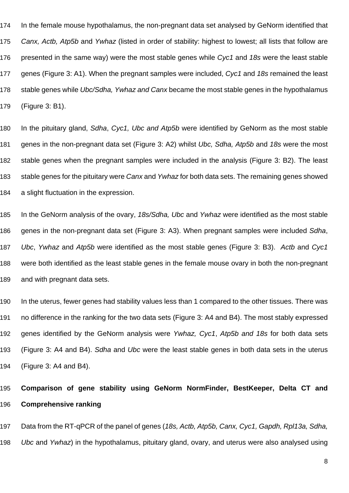174 In the female mouse hypothalamus, the non-pregnant data set analysed by GeNorm identified that 175 Canx, Actb, Atp5b and Ywhaz (listed in order of stability: highest to lowest; all lists that follow are 176 presented in the same way) were the most stable genes while Cyc1 and 18s were the least stable 177 genes (Figure 3: A1). When the pregnant samples were included, Cyc1 and 18s remained the least 178 stable genes while Ubc/Sdha, Ywhaz and Canx became the most stable genes in the hypothalamus 179 (Figure 3: B1).

180 In the pituitary gland, Sdha, Cyc1, Ubc and Atp5b were identified by GeNorm as the most stable 181 genes in the non-pregnant data set (Figure 3: A2) whilst Ubc, Sdha, Atp5b and 18s were the most 182 stable genes when the pregnant samples were included in the analysis (Figure 3: B2). The least 183 stable genes for the pituitary were Canx and Ywhaz for both data sets. The remaining genes showed 184 a slight fluctuation in the expression.

185 In the GeNorm analysis of the ovary, 18s/Sdha, Ubc and Ywhaz were identified as the most stable 186 genes in the non-pregnant data set (Figure 3: A3). When pregnant samples were included Sdha, 187 Ubc. Ywhaz and Atp5b were identified as the most stable genes (Figure 3: B3). Actb and Cyc1 188 were both identified as the least stable genes in the female mouse ovary in both the non-pregnant 189 and with pregnant data sets.

190 In the uterus, fewer genes had stability values less than 1 compared to the other tissues. There was 191 no difference in the ranking for the two data sets (Figure 3: A4 and B4). The most stably expressed 192 genes identified by the GeNorm analysis were Ywhaz, Cyc1, Atp5b and 18s for both data sets 193 (Figure 3: A4 and B4). Sdha and Ubc were the least stable genes in both data sets in the uterus 194 (Figure 3: A4 and B4).

# 195 **Comparison of gene stability using GeNorm NormFinder, BestKeeper, Delta CT and**  196 **Comprehensive ranking**

197 Data from the RT-qPCR of the panel of genes (18s, Actb, Atp5b, Canx, Cyc1, Gapdh, Rpl13a, Sdha, 198 Ubc and Ywhaz) in the hypothalamus, pituitary gland, ovary, and uterus were also analysed using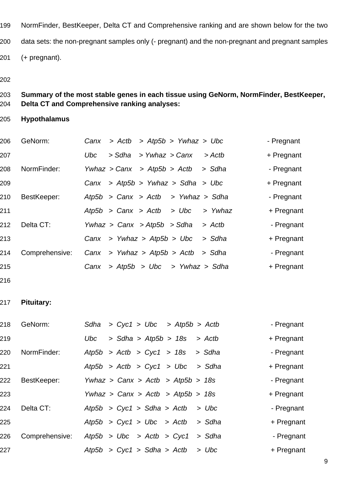- NormFinder, BestKeeper, Delta CT and Comprehensive ranking and are shown below for the two data sets: the non-pregnant samples only (- pregnant) and the non-pregnant and pregnant samples (+ pregnant).
- 

# **Summary of the most stable genes in each tissue using GeNorm, NormFinder, BestKeeper, Delta CT and Comprehensive ranking analyses:**

**Hypothalamus**

| 206 | GeNorm:        |            |        | Canx > Actb > $Atp5b$ > Ywhaz > Ubc      |         | - Pregnant |
|-----|----------------|------------|--------|------------------------------------------|---------|------------|
| 207 |                | <b>Ubc</b> | > Sdha | > Ywhaz > Canx                           | > Actb  | + Pregnant |
| 208 | NormFinder:    |            |        | Ywhaz > Canx > Atp5b > Actb              | > Sdha  | - Pregnant |
| 209 |                |            |        | Canx > $Atp5b$ > Ywhaz > $Sdha$ > Ubc    |         | + Pregnant |
| 210 | BestKeeper:    |            |        | Atp5b > Canx > Actb > Ywhaz > Sdha       |         | - Pregnant |
| 211 |                |            |        | Atp5b > Canx > Actb > Ubc                | > Ywhaz | + Pregnant |
| 212 | Delta CT:      |            |        | Ywhaz > Canx > Atp5b > Sdha              | > Actb  | - Pregnant |
| 213 |                |            |        | $C$ anx > Ywhaz > Atp5b > Ubc            | > Sdha  | + Pregnant |
| 214 | Comprehensive: |            |        | Canx > Ywhaz > $Atp5b$ > $Actb$ > $Sdha$ |         | - Pregnant |
| 215 |                | Canx       |        | > Atp5b > Ubc > Ywhaz > Sdha             |         | + Pregnant |
|     |                |            |        |                                          |         |            |

## **Pituitary:**

| 218 | GeNorm:        | Sdha                                |  |  | $> Cyc1 > Ubc$ > Atp5b > Actb |        | - Pregnant |
|-----|----------------|-------------------------------------|--|--|-------------------------------|--------|------------|
| 219 |                | <b>Ubc</b>                          |  |  | $>$ Sdha $>$ Atp5b $>$ 18s    | > Actb | + Pregnant |
| 220 | NormFinder:    | Atp5b > Actb > Cyc1 > 18s           |  |  |                               | > Sdha | - Pregnant |
| 221 |                | Atp5b > Actb > $Cyc1$ > Ubc > Sdha  |  |  |                               |        | + Pregnant |
| 222 | BestKeeper:    | Ywhaz > Canx > Actb > $Atp5b > 18s$ |  |  |                               |        | - Pregnant |
| 223 |                | Ywhaz > Canx > Actb > $Atp5b > 18s$ |  |  |                               |        | + Pregnant |
| 224 | Delta CT:      | Atp5b > Cyc1 > Sdha > Actb          |  |  |                               | > Ubc  | - Pregnant |
| 225 |                | Atp5b > Cyc1 > Ubc > Actb           |  |  |                               | > Sdha | + Pregnant |
| 226 | Comprehensive: | Atp5b > Ubc > Actb > Cyc1           |  |  |                               | > Sdha | - Pregnant |
| 227 |                | Atp5b > Cyc1 > Sdha > Actb          |  |  |                               | > Ubc  | + Pregnant |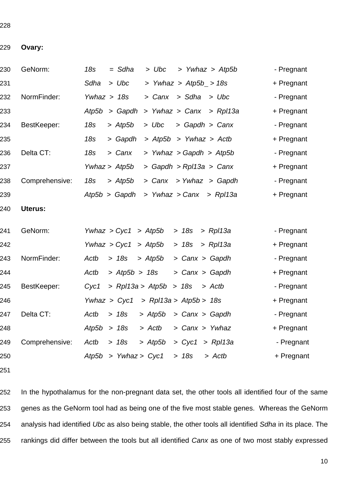#### **Ovary:**

| 230 | GeNorm:        | 18s<br>$=$ Sdha<br>> Ywhaz > Atp5b<br>> Ubc                   | - Pregnant |
|-----|----------------|---------------------------------------------------------------|------------|
| 231 |                | > Ywhaz > $Atp5b_$ > 18s<br>Sdha<br>> Ubc                     | + Pregnant |
| 232 | NormFinder:    | Ywhaz $> 18s$<br>> Sdha<br>> Canx<br>> Ubc                    | - Pregnant |
| 233 |                | Atp5b<br>> Gapdh<br>> Ywhaz > Canx<br>$>$ Rpl13a              | + Pregnant |
| 234 | BestKeeper:    | > Gapdh > Canx<br>18s<br>$>$ Atp5b<br>> Ubc                   | - Pregnant |
| 235 |                | 18s<br>> Gapdh<br>> Atp5b > Ywhaz > Actb                      | + Pregnant |
| 236 | Delta CT:      | > Ywhaz > Gapdh > Atp5b<br>18s<br>> Canx                      | - Pregnant |
| 237 |                | Ywhaz > Atp5b<br>> Gapdh > Rpl13a > Canx                      | + Pregnant |
| 238 | Comprehensive: | <b>18s</b><br>> Canx > Ywhaz > Gapdh<br>$>$ Atp <sub>5b</sub> | - Pregnant |
| 239 |                | > Ywhaz > Canx > Rp113a<br>Atp5b > Gapdh                      | + Pregnant |
| 240 | Uterus:        |                                                               |            |
| 241 | GeNorm:        | Ywhaz > $Cyc1$ > Atp5b<br>$>$ Rpl13a<br>>18s                  | - Pregnant |
| 242 |                | Ywhaz > Cyc1<br>> Atp5b<br>>18s<br>$>$ Rpl13a                 | + Pregnant |
| 243 | NormFinder:    | Actb<br>> 18s<br>> Canx > Gapdh<br>> Atp5b                    | - Pregnant |
| 244 |                | > Atp5b > 18s<br>> Canx > Gapdh<br>Actb                       | + Pregnant |
| 245 | BestKeeper:    | Cyc1<br>$>$ Rpl13a $>$ Atp5b<br>> 18s<br>> Actb               | - Pregnant |
| 246 |                | Ywhaz > Cyc1<br>$>$ Rpl13a $>$ Atp5b $>$ 18s                  | + Pregnant |
| 247 | Delta CT:      | Actb<br>> 18s<br>$>$ Atp5b<br>> Canx > Gapdh                  | - Pregnant |
| 248 |                | Atp5b<br>>18s<br>> Actb<br>> Canx > Ywhaz                     | + Pregnant |
| 249 | Comprehensive: | Actb<br>> 18s<br>$>$ Cyc1 $>$ Rpl13a<br>> Atp5b               | - Pregnant |
| 250 |                | Atp5b > Ywhaz > Cyc1<br>> 18s<br>> Actb                       | + Pregnant |
|     |                |                                                               |            |

 In the hypothalamus for the non-pregnant data set, the other tools all identified four of the same genes as the GeNorm tool had as being one of the five most stable genes. Whereas the GeNorm 254 analysis had identified Ubc as also being stable, the other tools all identified Sdha in its place. The 255 rankings did differ between the tools but all identified Canx as one of two most stably expressed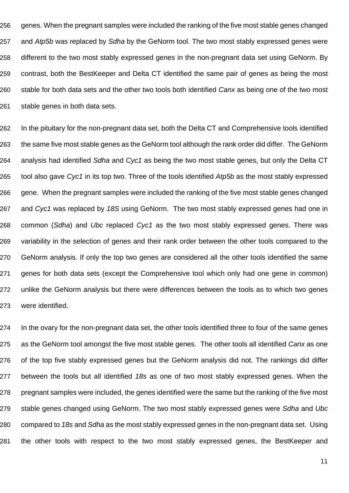genes. When the pregnant samples were included the ranking of the five most stable genes changed 257 and Atp5b was replaced by Sdha by the GeNorm tool. The two most stably expressed genes were different to the two most stably expressed genes in the non-pregnant data set using GeNorm. By contrast, both the BestKeeper and Delta CT identified the same pair of genes as being the most 260 stable for both data sets and the other two tools both identified Canx as being one of the two most stable genes in both data sets.

262 In the pituitary for the non-pregnant data set, both the Delta CT and Comprehensive tools identified 263 the same five most stable genes as the GeNorm tool although the rank order did differ. The GeNorm 264 analysis had identified Sdha and Cyc1 as being the two most stable genes, but only the Delta CT 265 tool also gave Cyc1 in its top two. Three of the tools identified Atp5b as the most stably expressed 266 gene. When the pregnant samples were included the ranking of the five most stable genes changed 267 and Cyc1 was replaced by 18S using GeNorm. The two most stably expressed genes had one in 268 common (Sdha) and Ubc replaced Cyc1 as the two most stably expressed genes. There was 269 variability in the selection of genes and their rank order between the other tools compared to the 270 GeNorm analysis. If only the top two genes are considered all the other tools identified the same 271 genes for both data sets (except the Comprehensive tool which only had one gene in common) 272 unlike the GeNorm analysis but there were differences between the tools as to which two genes 273 were identified.

274 In the ovary for the non-pregnant data set, the other tools identified three to four of the same genes 275 as the GeNorm tool amongst the five most stable genes. The other tools all identified Canx as one 276 of the top five stably expressed genes but the GeNorm analysis did not. The rankings did differ 277 between the tools but all identified 18s as one of two most stably expressed genes. When the 278 pregnant samples were included, the genes identified were the same but the ranking of the five most 279 stable genes changed using GeNorm. The two most stably expressed genes were Sdha and Ubc 280 compared to 18s and Sdha as the most stably expressed genes in the non-pregnant data set. Using 281 the other tools with respect to the two most stably expressed genes, the BestKeeper and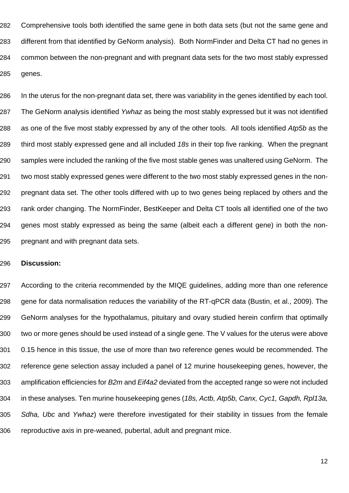Comprehensive tools both identified the same gene in both data sets (but not the same gene and different from that identified by GeNorm analysis). Both NormFinder and Delta CT had no genes in common between the non-pregnant and with pregnant data sets for the two most stably expressed genes.

 In the uterus for the non-pregnant data set, there was variability in the genes identified by each tool. 287 The GeNorm analysis identified Ywhaz as being the most stably expressed but it was not identified 288 as one of the five most stably expressed by any of the other tools. All tools identified Atp5b as the 289 third most stably expressed gene and all included 18s in their top five ranking. When the pregnant samples were included the ranking of the five most stable genes was unaltered using GeNorm. The two most stably expressed genes were different to the two most stably expressed genes in the non- pregnant data set. The other tools differed with up to two genes being replaced by others and the rank order changing. The NormFinder, BestKeeper and Delta CT tools all identified one of the two genes most stably expressed as being the same (albeit each a different gene) in both the non-pregnant and with pregnant data sets.

## **Discussion:**

 According to the criteria recommended by the MIQE guidelines, adding more than one reference gene for data normalisation reduces the variability of the RT-qPCR data (Bustin, et al., 2009). The GeNorm analyses for the hypothalamus, pituitary and ovary studied herein confirm that optimally two or more genes should be used instead of a single gene. The V values for the uterus were above 0.15 hence in this tissue, the use of more than two reference genes would be recommended. The reference gene selection assay included a panel of 12 murine housekeeping genes, however, the 303 amplification efficiencies for B2m and Eif4a2 deviated from the accepted range so were not included 304 in these analyses. Ten murine housekeeping genes (18s, Actb, Atp5b, Canx, Cyc1, Gapdh, Rpl13a, 305 Sdha, Ubc and Ywhaz) were therefore investigated for their stability in tissues from the female reproductive axis in pre-weaned, pubertal, adult and pregnant mice.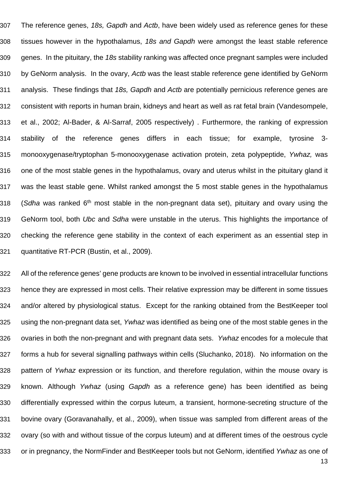307 The reference genes, 18s, Gapdh and Actb, have been widely used as reference genes for these 308 tissues however in the hypothalamus, 18s and Gapdh were amongst the least stable reference 309 genes. In the pituitary, the 18s stability ranking was affected once pregnant samples were included 310 by GeNorm analysis. In the ovary, Actb was the least stable reference gene identified by GeNorm 311 analysis. These findings that 18s, Gapdh and Actb are potentially pernicious reference genes are 312 consistent with reports in human brain, kidneys and heart as well as rat fetal brain (Vandesompele, 313 et al., 2002; Al-Bader, & Al-Sarraf, 2005 respectively) . Furthermore, the ranking of expression 314 stability of the reference genes differs in each tissue; for example, tyrosine 3- 315 monooxygenase/tryptophan 5-monooxygenase activation protein, zeta polypeptide, Ywhaz, was 316 one of the most stable genes in the hypothalamus, ovary and uterus whilst in the pituitary gland it 317 was the least stable gene. Whilst ranked amongst the 5 most stable genes in the hypothalamus 318 (Sdha was ranked 6<sup>th</sup> most stable in the non-pregnant data set), pituitary and ovary using the 319 GeNorm tool, both Ubc and Sdha were unstable in the uterus. This highlights the importance of 320 checking the reference gene stability in the context of each experiment as an essential step in 321 quantitative RT-PCR (Bustin, et al., 2009).

322 All of the reference genes' gene products are known to be involved in essential intracellular functions 323 hence they are expressed in most cells. Their relative expression may be different in some tissues 324 and/or altered by physiological status. Except for the ranking obtained from the BestKeeper tool 325 using the non-pregnant data set, Ywhaz was identified as being one of the most stable genes in the 326 ovaries in both the non-pregnant and with pregnant data sets. Ywhaz encodes for a molecule that 327 forms a hub for several signalling pathways within cells (Sluchanko, 2018). No information on the 328 pattern of Ywhaz expression or its function, and therefore regulation, within the mouse ovary is 329 known. Although Ywhaz (using Gapdh as a reference gene) has been identified as being 330 differentially expressed within the corpus luteum, a transient, hormone-secreting structure of the 331 bovine ovary (Goravanahally, et al., 2009), when tissue was sampled from different areas of the 332 ovary (so with and without tissue of the corpus luteum) and at different times of the oestrous cycle 333 or in pregnancy, the NormFinder and BestKeeper tools but not GeNorm, identified Ywhaz as one of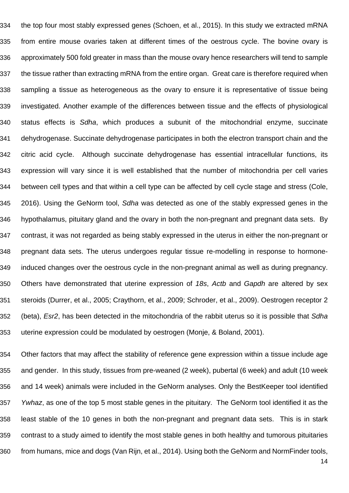the top four most stably expressed genes (Schoen, et al., 2015). In this study we extracted mRNA from entire mouse ovaries taken at different times of the oestrous cycle. The bovine ovary is approximately 500 fold greater in mass than the mouse ovary hence researchers will tend to sample the tissue rather than extracting mRNA from the entire organ. Great care is therefore required when sampling a tissue as heterogeneous as the ovary to ensure it is representative of tissue being investigated. Another example of the differences between tissue and the effects of physiological status effects is Sdha, which produces a subunit of the mitochondrial enzyme, succinate dehydrogenase. Succinate dehydrogenase participates in both the electron transport chain and the citric acid cycle. Although succinate dehydrogenase has essential intracellular functions, its expression will vary since it is well established that the number of mitochondria per cell varies between cell types and that within a cell type can be affected by cell cycle stage and stress (Cole, 345 2016). Using the GeNorm tool, Sdha was detected as one of the stably expressed genes in the hypothalamus, pituitary gland and the ovary in both the non-pregnant and pregnant data sets. By contrast, it was not regarded as being stably expressed in the uterus in either the non-pregnant or pregnant data sets. The uterus undergoes regular tissue re-modelling in response to hormone- induced changes over the oestrous cycle in the non-pregnant animal as well as during pregnancy. 350 Others have demonstrated that uterine expression of 18s, Actb and Gapdh are altered by sex steroids (Durrer, et al., 2005; Craythorn, et al., 2009; Schroder, et al., 2009). Oestrogen receptor 2 352 (beta), *Esr*2, has been detected in the mitochondria of the rabbit uterus so it is possible that Sdha uterine expression could be modulated by oestrogen (Monje, & Boland, 2001).

 Other factors that may affect the stability of reference gene expression within a tissue include age and gender. In this study, tissues from pre-weaned (2 week), pubertal (6 week) and adult (10 week and 14 week) animals were included in the GeNorm analyses. Only the BestKeeper tool identified Ywhaz, as one of the top 5 most stable genes in the pituitary. The GeNorm tool identified it as the least stable of the 10 genes in both the non-pregnant and pregnant data sets. This is in stark contrast to a study aimed to identify the most stable genes in both healthy and tumorous pituitaries from humans, mice and dogs (Van Rijn, et al., 2014). Using both the GeNorm and NormFinder tools,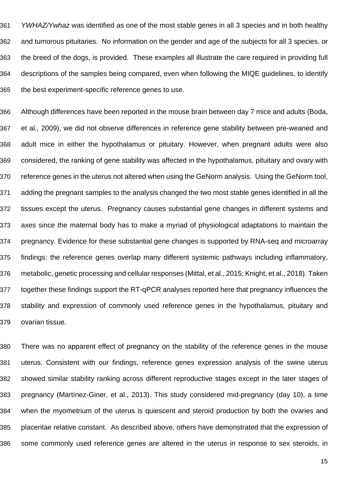361 YWHAZ/Ywhaz was identified as one of the most stable genes in all 3 species and in both healthy and tumorous pituitaries. No information on the gender and age of the subjects for all 3 species, or the breed of the dogs, is provided. These examples all illustrate the care required in providing full descriptions of the samples being compared, even when following the MIQE guidelines, to identify the best experiment-specific reference genes to use.

 Although differences have been reported in the mouse brain between day 7 mice and adults (Boda, et al., 2009), we did not observe differences in reference gene stability between pre-weaned and adult mice in either the hypothalamus or pituitary. However, when pregnant adults were also considered, the ranking of gene stability was affected in the hypothalamus, pituitary and ovary with reference genes in the uterus not altered when using the GeNorm analysis. Using the GeNorm tool, adding the pregnant samples to the analysis changed the two most stable genes identified in all the tissues except the uterus. Pregnancy causes substantial gene changes in different systems and axes since the maternal body has to make a myriad of physiological adaptations to maintain the pregnancy. Evidence for these substantial gene changes is supported by RNA-seq and microarray findings: the reference genes overlap many different systemic pathways including inflammatory, metabolic, genetic processing and cellular responses (Mittal, et al., 2015; Knight, et al., 2018). Taken together these findings support the RT-qPCR analyses reported here that pregnancy influences the stability and expression of commonly used reference genes in the hypothalamus, pituitary and ovarian tissue.

 There was no apparent effect of pregnancy on the stability of the reference genes in the mouse uterus. Consistent with our findings, reference genes expression analysis of the swine uterus showed similar stability ranking across different reproductive stages except in the later stages of pregnancy (Martínez-Giner, et al., 2013). This study considered mid-pregnancy (day 10), a time when the myometrium of the uterus is quiescent and steroid production by both the ovaries and placentae relative constant. As described above, others have demonstrated that the expression of some commonly used reference genes are altered in the uterus in response to sex steroids, in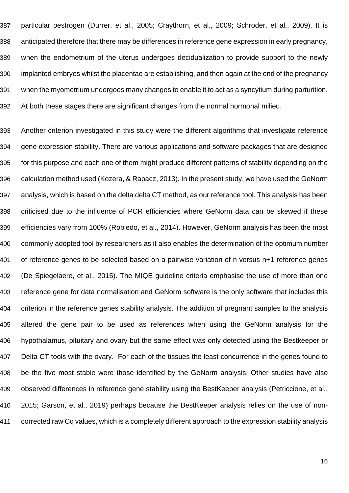particular oestrogen (Durrer, et al., 2005; Craythorn, et al., 2009; Schroder, et al., 2009). It is anticipated therefore that there may be differences in reference gene expression in early pregnancy, when the endometrium of the uterus undergoes decidualization to provide support to the newly implanted embryos whilst the placentae are establishing, and then again at the end of the pregnancy when the myometrium undergoes many changes to enable it to act as a syncytium during parturition. At both these stages there are significant changes from the normal hormonal milieu.

 Another criterion investigated in this study were the different algorithms that investigate reference gene expression stability. There are various applications and software packages that are designed for this purpose and each one of them might produce different patterns of stability depending on the calculation method used (Kozera, & Rapacz, 2013). In the present study, we have used the GeNorm analysis, which is based on the delta delta CT method, as our reference tool. This analysis has been criticised due to the influence of PCR efficiencies where GeNorm data can be skewed if these efficiencies vary from 100% (Robledo, et al., 2014). However, GeNorm analysis has been the most commonly adopted tool by researchers as it also enables the determination of the optimum number of reference genes to be selected based on a pairwise variation of n versus n+1 reference genes (De Spiegelaere, et al., 2015). The MIQE guideline criteria emphasise the use of more than one reference gene for data normalisation and GeNorm software is the only software that includes this criterion in the reference genes stability analysis. The addition of pregnant samples to the analysis altered the gene pair to be used as references when using the GeNorm analysis for the hypothalamus, pituitary and ovary but the same effect was only detected using the Bestkeeper or Delta CT tools with the ovary. For each of the tissues the least concurrence in the genes found to be the five most stable were those identified by the GeNorm analysis. Other studies have also observed differences in reference gene stability using the BestKeeper analysis (Petriccione, et al., 2015; Garson, et al., 2019) perhaps because the BestKeeper analysis relies on the use of non-corrected raw Cq values, which is a completely different approach to the expression stability analysis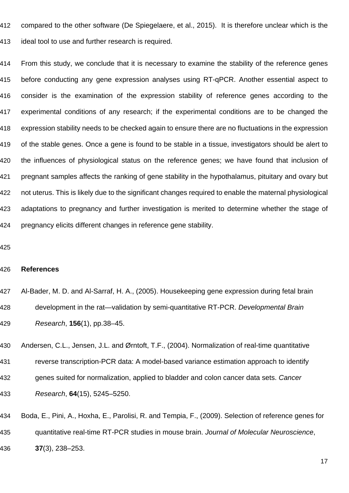compared to the other software (De Spiegelaere, et al., 2015). It is therefore unclear which is the ideal tool to use and further research is required.

 From this study, we conclude that it is necessary to examine the stability of the reference genes before conducting any gene expression analyses using RT-qPCR. Another essential aspect to consider is the examination of the expression stability of reference genes according to the experimental conditions of any research; if the experimental conditions are to be changed the expression stability needs to be checked again to ensure there are no fluctuations in the expression of the stable genes. Once a gene is found to be stable in a tissue, investigators should be alert to the influences of physiological status on the reference genes; we have found that inclusion of pregnant samples affects the ranking of gene stability in the hypothalamus, pituitary and ovary but not uterus. This is likely due to the significant changes required to enable the maternal physiological adaptations to pregnancy and further investigation is merited to determine whether the stage of pregnancy elicits different changes in reference gene stability.

#### **References**

 Al-Bader, M. D. and Al-Sarraf, H. A., (2005). Housekeeping gene expression during fetal brain 428 development in the rat—validation by semi-quantitative RT-PCR, Developmental Brain Research, **156**(1), pp.38–45.

430 Andersen, C.L., Jensen, J.L. and Ørntoft, T.F., (2004). Normalization of real-time quantitative reverse transcription-PCR data: A model-based variance estimation approach to identify 432 genes suited for normalization, applied to bladder and colon cancer data sets. Cancer Research, **64**(15), 5245–5250.

 Boda, E., Pini, A., Hoxha, E., Parolisi, R. and Tempia, F., (2009). Selection of reference genes for 435 quantitative real-time RT-PCR studies in mouse brain. Journal of Molecular Neuroscience, **37**(3), 238–253.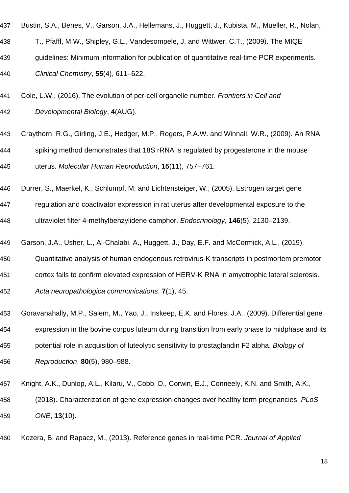- Bustin, S.A., Benes, V., Garson, J.A., Hellemans, J., Huggett, J., Kubista, M., Mueller, R., Nolan,
- T., Pfaffl, M.W., Shipley, G.L., Vandesompele, J. and Wittwer, C.T., (2009). The MIQE
- guidelines: Minimum information for publication of quantitative real-time PCR experiments.
- Clinical Chemistry, **55**(4), 611–622.
- 441 Cole, L.W., (2016). The evolution of per-cell organelle number. Frontiers in Cell and Developmental Biology, **4**(AUG).
- Craythorn, R.G., Girling, J.E., Hedger, M.P., Rogers, P.A.W. and Winnall, W.R., (2009). An RNA spiking method demonstrates that 18S rRNA is regulated by progesterone in the mouse uterus. Molecular Human Reproduction, **15**(11), 757–761.
- Durrer, S., Maerkel, K., Schlumpf, M. and Lichtensteiger, W., (2005). Estrogen target gene
- regulation and coactivator expression in rat uterus after developmental exposure to the
- ultraviolet filter 4-methylbenzylidene camphor. Endocrinology, **146**(5), 2130–2139.
- Garson, J.A., Usher, L., Al-Chalabi, A., Huggett, J., Day, E.F. and McCormick, A.L., (2019).
- Quantitative analysis of human endogenous retrovirus-K transcripts in postmortem premotor
- cortex fails to confirm elevated expression of HERV-K RNA in amyotrophic lateral sclerosis.
- Acta neuropathologica communications, **7**(1), 45.
- Goravanahally, M.P., Salem, M., Yao, J., Inskeep, E.K. and Flores, J.A., (2009). Differential gene
- expression in the bovine corpus luteum during transition from early phase to midphase and its
- 455 potential role in acquisition of luteolytic sensitivity to prostaglandin F2 alpha. Biology of
- Reproduction, **80**(5), 980–988.
- Knight, A.K., Dunlop, A.L., Kilaru, V., Cobb, D., Corwin, E.J., Conneely, K.N. and Smith, A.K.,
- 458 (2018). Characterization of gene expression changes over healthy term pregnancies. PLoS ONE, **13**(10).
- 460 Kozera, B. and Rapacz, M., (2013). Reference genes in real-time PCR. Journal of Applied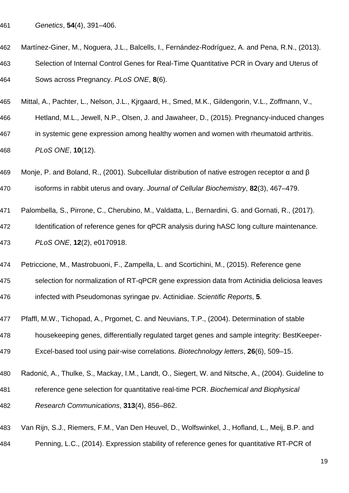- Genetics, **54**(4), 391–406.
- Martínez-Giner, M., Noguera, J.L., Balcells, I., Fernández-Rodríguez, A. and Pena, R.N., (2013). Selection of Internal Control Genes for Real-Time Quantitative PCR in Ovary and Uterus of Sows across Pregnancy. PLoS ONE, **8**(6).
- Mittal, A., Pachter, L., Nelson, J.L., Kjrgaard, H., Smed, M.K., Gildengorin, V.L., Zoffmann, V.,
- Hetland, M.L., Jewell, N.P., Olsen, J. and Jawaheer, D., (2015). Pregnancy-induced changes in systemic gene expression among healthy women and women with rheumatoid arthritis. PLoS ONE, **10**(12).
- Monje, P. and Boland, R., (2001). Subcellular distribution of native estrogen receptor α and β isoforms in rabbit uterus and ovary. Journal of Cellular Biochemistry, **82**(3), 467–479.
- Palombella, S., Pirrone, C., Cherubino, M., Valdatta, L., Bernardini, G. and Gornati, R., (2017).
- Identification of reference genes for qPCR analysis during hASC long culture maintenance. PLoS ONE, **12**(2), e0170918.
- Petriccione, M., Mastrobuoni, F., Zampella, L. and Scortichini, M., (2015). Reference gene
- selection for normalization of RT-qPCR gene expression data from Actinidia deliciosa leaves infected with Pseudomonas syringae pv. Actinidiae. Scientific Reports, **5**.
- Pfaffl, M.W., Tichopad, A., Prgomet, C. and Neuvians, T.P., (2004). Determination of stable
- housekeeping genes, differentially regulated target genes and sample integrity: BestKeeper-
- Excel-based tool using pair-wise correlations. Biotechnology letters, **26**(6), 509–15.
- Radonić, A., Thulke, S., Mackay, I.M., Landt, O., Siegert, W. and Nitsche, A., (2004). Guideline to
- 481 reference gene selection for quantitative real-time PCR. Biochemical and Biophysical Research Communications, **313**(4), 856–862.
- Van Rijn, S.J., Riemers, F.M., Van Den Heuvel, D., Wolfswinkel, J., Hofland, L., Meij, B.P. and
- Penning, L.C., (2014). Expression stability of reference genes for quantitative RT-PCR of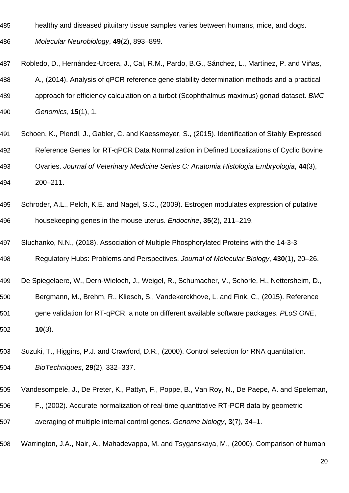healthy and diseased pituitary tissue samples varies between humans, mice, and dogs.

Molecular Neurobiology, **49**(2), 893–899.

- Robledo, D., Hernández-Urcera, J., Cal, R.M., Pardo, B.G., Sánchez, L., Martínez, P. and Viñas, A., (2014). Analysis of qPCR reference gene stability determination methods and a practical 489 approach for efficiency calculation on a turbot (Scophthalmus maximus) gonad dataset. BMC Genomics, **15**(1), 1.
- Schoen, K., Plendl, J., Gabler, C. and Kaessmeyer, S., (2015). Identification of Stably Expressed Reference Genes for RT-qPCR Data Normalization in Defined Localizations of Cyclic Bovine Ovaries. Journal of Veterinary Medicine Series C: Anatomia Histologia Embryologia, **44**(3), 200–211.
- Schroder, A.L., Pelch, K.E. and Nagel, S.C., (2009). Estrogen modulates expression of putative housekeeping genes in the mouse uterus. Endocrine, **35**(2), 211–219.
- Sluchanko, N.N., (2018). Association of Multiple Phosphorylated Proteins with the 14-3-3
- Regulatory Hubs: Problems and Perspectives. Journal of Molecular Biology, **430**(1), 20–26.
- De Spiegelaere, W., Dern-Wieloch, J., Weigel, R., Schumacher, V., Schorle, H., Nettersheim, D., Bergmann, M., Brehm, R., Kliesch, S., Vandekerckhove, L. and Fink, C., (2015). Reference 501 gene validation for RT-qPCR, a note on different available software packages. PLoS ONE, **10**(3).
- Suzuki, T., Higgins, P.J. and Crawford, D.R., (2000). Control selection for RNA quantitation.
- BioTechniques, **29**(2), 332–337.
- Vandesompele, J., De Preter, K., Pattyn, F., Poppe, B., Van Roy, N., De Paepe, A. and Speleman,
- F., (2002). Accurate normalization of real-time quantitative RT-PCR data by geometric
- averaging of multiple internal control genes. Genome biology, **3**(7), 34–1.
- Warrington, J.A., Nair, A., Mahadevappa, M. and Tsyganskaya, M., (2000). Comparison of human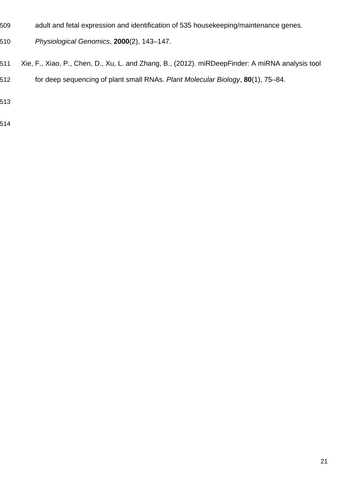- adult and fetal expression and identification of 535 housekeeping/maintenance genes.
- Physiological Genomics, **2000**(2), 143–147.
- Xie, F., Xiao, P., Chen, D., Xu, L. and Zhang, B., (2012). miRDeepFinder: A miRNA analysis tool
- for deep sequencing of plant small RNAs. Plant Molecular Biology, **80**(1), 75–84.
- 
-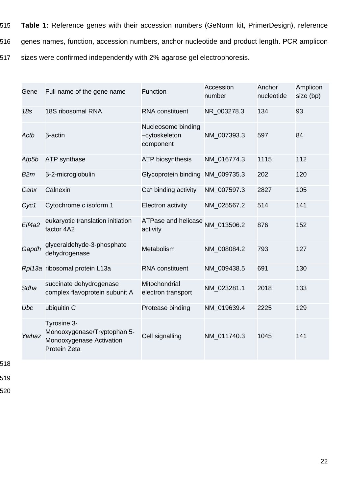- 515 **Table 1:** Reference genes with their accession numbers (GeNorm kit, PrimerDesign), reference
- 516 genes names, function, accession numbers, anchor nucleotide and product length. PCR amplicon
- 517 sizes were confirmed independently with 2% agarose gel electrophoresis.

| Gene   | Full name of the gene name                                                             | <b>Function</b>                                  | Accession<br>number | Anchor<br>nucleotide | Amplicon<br>size (bp) |
|--------|----------------------------------------------------------------------------------------|--------------------------------------------------|---------------------|----------------------|-----------------------|
| 18s    | 18S ribosomal RNA                                                                      | RNA constituent                                  | NR 003278.3         | 134                  | 93                    |
| Actb   | $\beta$ -actin                                                                         | Nucleosome binding<br>-cytoskeleton<br>component | NM 007393.3         | 597                  | 84                    |
| Atp5b  | <b>ATP</b> synthase                                                                    | <b>ATP biosynthesis</b>                          | NM 016774.3         | 1115                 | 112                   |
| B2m    | β-2-microglobulin                                                                      | Glycoprotein binding                             | NM 009735.3         | 202                  | 120                   |
| Canx   | Calnexin                                                                               | Ca <sup>+</sup> binding activity                 | NM 007597.3         | 2827                 | 105                   |
| Cyc1   | Cytochrome c isoform 1                                                                 | <b>Electron activity</b>                         | NM 025567.2         | 514                  | 141                   |
| Eif4a2 | eukaryotic translation initiation<br>factor 4A2                                        | <b>ATPase and helicase</b><br>activity           | NM 013506.2         | 876                  | 152                   |
| Gapdh  | glyceraldehyde-3-phosphate<br>dehydrogenase                                            | Metabolism                                       | NM 008084.2         | 793                  | 127                   |
|        | Rpl13a ribosomal protein L13a                                                          | RNA constituent                                  | NM 009438.5         | 691                  | 130                   |
| Sdha   | succinate dehydrogenase<br>complex flavoprotein subunit A                              | Mitochondrial<br>electron transport              | NM 023281.1         | 2018                 | 133                   |
| Ubc    | ubiquitin C                                                                            | Protease binding                                 | NM 019639.4         | 2225                 | 129                   |
| Ywhaz  | Tyrosine 3-<br>Monooxygenase/Tryptophan 5-<br>Monooxygenase Activation<br>Protein Zeta | Cell signalling                                  | NM 011740.3         | 1045                 | 141                   |

- 518
- 519
- 520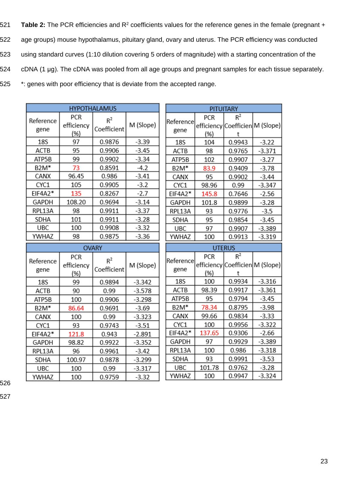521 Table 2: The PCR efficiencies and R<sup>2</sup> coefficients values for the reference genes in the female (pregnant + 522 age groups) mouse hypothalamus, pituitary gland, ovary and uterus. The PCR efficiency was conducted 523 using standard curves (1:10 dilution covering 5 orders of magnitude) with a starting concentration of the 524 cDNA (1 μg). The cDNA was pooled from all age groups and pregnant samples for each tissue separately. 525 \*: genes with poor efficiency that is deviate from the accepted range.

> п П

 $-3.32$ 

| Reference         | PCR               | $R^2$                |           |  |
|-------------------|-------------------|----------------------|-----------|--|
| gene              | efficiency<br>(%) | Coefficient          | M (Slope) |  |
| 18S               | 97                | 0.9876               | $-3.39$   |  |
| ACTB              | 95                | 0.9906               | $-3.45$   |  |
| ATP5B             | 99                | 0.9902               | $-3.34$   |  |
| B2M*              | 73                | 0.8591               | $-4.2$    |  |
| CANX              | 96.45             | 0.986                | $-3.41$   |  |
| CYC1              | 105               | 0.9905               | $-3.2$    |  |
| EIF4A2*           | 135               | 0.8267               | -2.7      |  |
| GAPDH             | 108.20            | 0.9694               | $-3.14$   |  |
| RPL13A            | 98                | 0.9911               | $-3.37$   |  |
| SDHA              | 101               | 0.9911               | $-3.28$   |  |
| UBC               | 100               | 0.9908               | $-3.32$   |  |
| YWHAZ             | 98                | 0.9875               | $-3.36$   |  |
|                   |                   |                      |           |  |
|                   |                   | <b>OVARY</b>         |           |  |
|                   | PCR               |                      |           |  |
| Reference<br>gene | efficiency<br>(%) | $R^2$<br>Coefficient | M (Slope) |  |
| 18S               | 99                | 0.9894               | $-3.342$  |  |
| ACTB              | 90                | 0.99                 | $-3.578$  |  |
| ATP5B             | 100               | 0.9906               | $-3.298$  |  |
| B2M*              | 86.64             | 0.9691               | $-3.69$   |  |
| CANX              | 100               | 0.99                 | $-3.323$  |  |
| CYC1              | 93                | 0.9743               | $-3.51$   |  |
| EIF4A2*           | 121.8             | 0.943                | -2.891    |  |
| GAPDH             | 98.82             | 0.9922               | $-3.352$  |  |
| RPL13A            | 96                | 0.9961               | $-3.42$   |  |
| SDHA              | 100.97            | 0.9878               | $-3.299$  |  |

**HYPOTHALAMUS** 

| <b>PITUITARY</b>  |            |                                 |          |  |  |  |
|-------------------|------------|---------------------------------|----------|--|--|--|
| Reference         | PCR        | $R^2$                           |          |  |  |  |
|                   |            | efficiency Coefficien M (Slope) |          |  |  |  |
| gene              | (%)        | t                               |          |  |  |  |
| 18S               | 104        | 0.9943                          | $-3.22$  |  |  |  |
| <b>ACTB</b>       | 98         | 0.9765                          | $-3.371$ |  |  |  |
| ATP5B             | 102        | 0.9907                          | $-3.27$  |  |  |  |
| B2M*              | 83.9       | 0.9409                          | $-3.78$  |  |  |  |
| CANX              | 95         | 0.9902                          | $-3.44$  |  |  |  |
| CYC1              | 98.96      | 0.99                            | $-3.347$ |  |  |  |
| EIF4A2*           | 145.8      | 0.7646                          | $-2.56$  |  |  |  |
| GAPDH             | 101.8      | 0.9899                          | $-3.28$  |  |  |  |
| RPL13A            | 93         | 0.9776                          | $-3.5$   |  |  |  |
| SDHA              | 95         | 0.9854                          | $-3.45$  |  |  |  |
| UBC               | 97         | 0.9907                          | $-3.389$ |  |  |  |
| YWHAZ             | 100        | 0.9913                          | $-3.319$ |  |  |  |
|                   |            |                                 |          |  |  |  |
|                   |            | <b>UTERUS</b>                   |          |  |  |  |
|                   | PCR        | $R^2$                           |          |  |  |  |
| Reference<br>gene |            | efficiency Coefficien M (Slope) |          |  |  |  |
| 18S               | (%)<br>100 | t<br>0.9934                     | $-3.316$ |  |  |  |
| <b>ACTB</b>       | 98.39      | 0.9917                          | $-3.361$ |  |  |  |
| ATP5B             | 95         | 0.9794                          | $-3.45$  |  |  |  |
| B2M*              | 78.34      | 0.8795                          | $-3.98$  |  |  |  |
| CANX              | 99.66      | 0.9834                          | $-3.33$  |  |  |  |
| CYC1              | 100        | 0.9956                          | $-3.322$ |  |  |  |
| EIF4A2*           | 137.65     | 0.9306                          | $-2.66$  |  |  |  |
| GAPDH             | 97         | 0.9929                          | $-3.389$ |  |  |  |
| RPL13A            | 100        | 0.986                           | $-3.318$ |  |  |  |
| SDHA              | 93         | 0.9991                          | $-3.53$  |  |  |  |
| <b>UBC</b>        | 101.78     | 0.9762                          | $-3.28$  |  |  |  |

526

YWHAZ

100

0.9759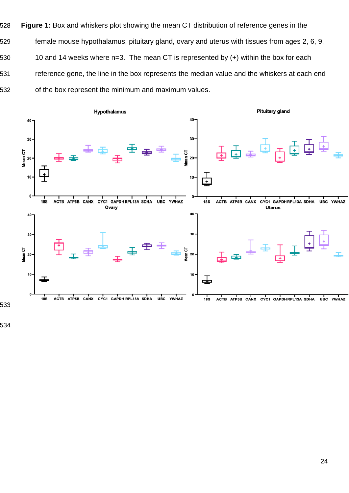**Figure 1:** Box and whiskers plot showing the mean CT distribution of reference genes in the female mouse hypothalamus, pituitary gland, ovary and uterus with tissues from ages 2, 6, 9, 530 10 and 14 weeks where n=3. The mean CT is represented by (+) within the box for each reference gene, the line in the box represents the median value and the whiskers at each end of the box represent the minimum and maximum values.

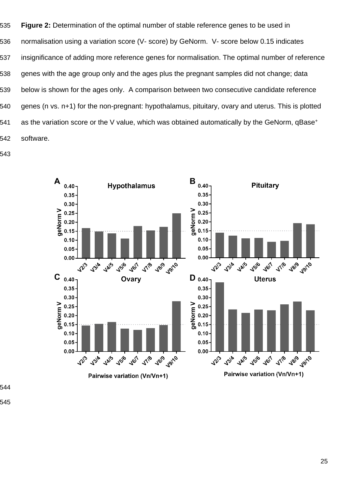**Figure 2:** Determination of the optimal number of stable reference genes to be used in normalisation using a variation score (V- score) by GeNorm. V- score below 0.15 indicates insignificance of adding more reference genes for normalisation. The optimal number of reference genes with the age group only and the ages plus the pregnant samples did not change; data below is shown for the ages only. A comparison between two consecutive candidate reference genes (n vs. n+1) for the non-pregnant: hypothalamus, pituitary, ovary and uterus. This is plotted 541 as the variation score or the V value, which was obtained automatically by the GeNorm, qBase<sup>+</sup> software.

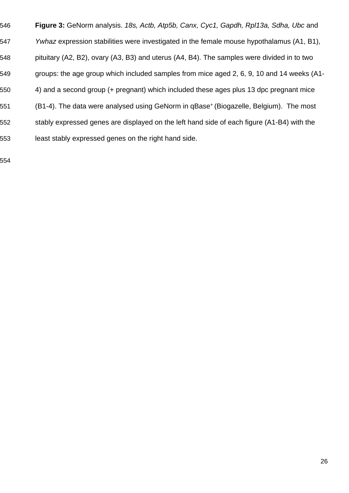**Figure 3:** GeNorm analysis. 18s, Actb, Atp5b, Canx, Cyc1, Gapdh, Rpl13a, Sdha, Ubc and 547 Ywhaz expression stabilities were investigated in the female mouse hypothalamus (A1, B1), pituitary (A2, B2), ovary (A3, B3) and uterus (A4, B4). The samples were divided in to two groups: the age group which included samples from mice aged 2, 6, 9, 10 and 14 weeks (A1- 4) and a second group (+ pregnant) which included these ages plus 13 dpc pregnant mice 551 (B1-4). The data were analysed using GeNorm in qBase<sup>+</sup> (Biogazelle, Belgium). The most 552 stably expressed genes are displayed on the left hand side of each figure (A1-B4) with the least stably expressed genes on the right hand side.